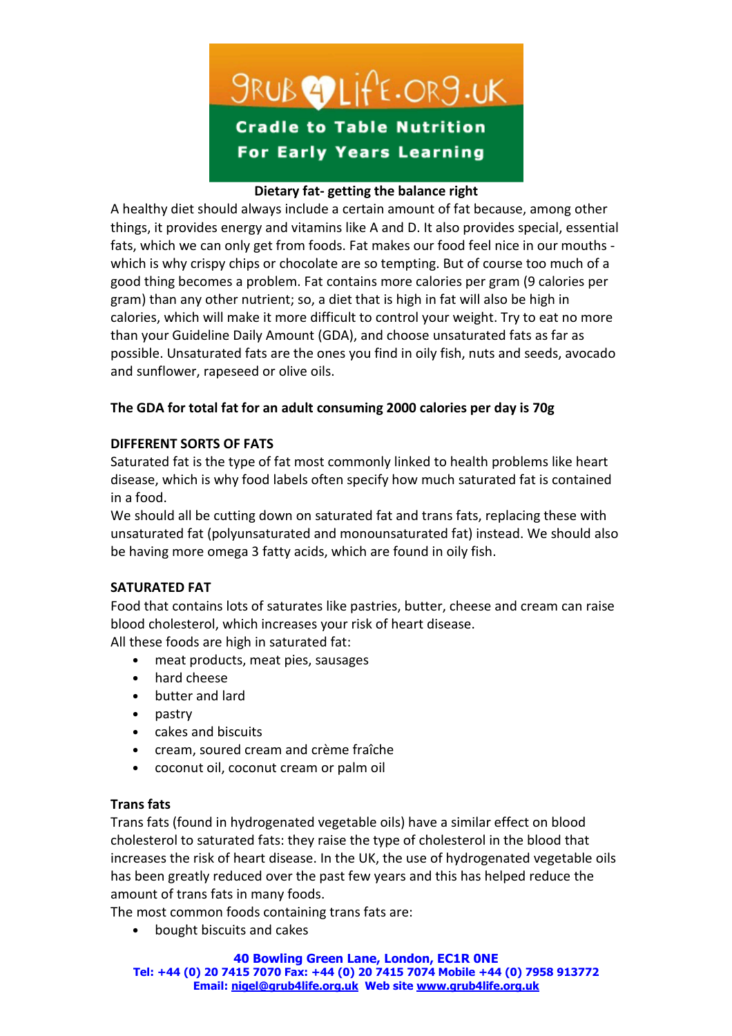

# Dietary fat- getting the balance right

A healthy diet should always include a certain amount of fat because, among other things, it provides energy and vitamins like A and D. It also provides special, essential fats, which we can only get from foods. Fat makes our food feel nice in our mouths which is why crispy chips or chocolate are so tempting. But of course too much of a good thing becomes a problem. Fat contains more calories per gram (9 calories per gram) than any other nutrient; so, a diet that is high in fat will also be high in calories, which will make it more difficult to control your weight. Try to eat no more than your Guideline Daily Amount (GDA), and choose unsaturated fats as far as possible. Unsaturated fats are the ones you find in oily fish, nuts and seeds, avocado and sunflower, rapeseed or olive oils.

# The GDA for total fat for an adult consuming 2000 calories per day is 70g

## DIFFERENT SORTS OF FATS

Saturated fat is the type of fat most commonly linked to health problems like heart disease, which is why food labels often specify how much saturated fat is contained in a food.

We should all be cutting down on saturated fat and trans fats, replacing these with unsaturated fat (polyunsaturated and monounsaturated fat) instead. We should also be having more omega 3 fatty acids, which are found in oily fish.

## SATURATED FAT

Food that contains lots of saturates like pastries, butter, cheese and cream can raise blood cholesterol, which increases your risk of heart disease.

All these foods are high in saturated fat:

- meat products, meat pies, sausages
- hard cheese
- butter and lard
- pastry
- cakes and biscuits
- cream, soured cream and crème fraîche
- coconut oil, coconut cream or palm oil

## Trans fats

Trans fats (found in hydrogenated vegetable oils) have a similar effect on blood cholesterol to saturated fats: they raise the type of cholesterol in the blood that increases the risk of heart disease. In the UK, the use of hydrogenated vegetable oils has been greatly reduced over the past few years and this has helped reduce the amount of trans fats in many foods.

The most common foods containing trans fats are:

• bought biscuits and cakes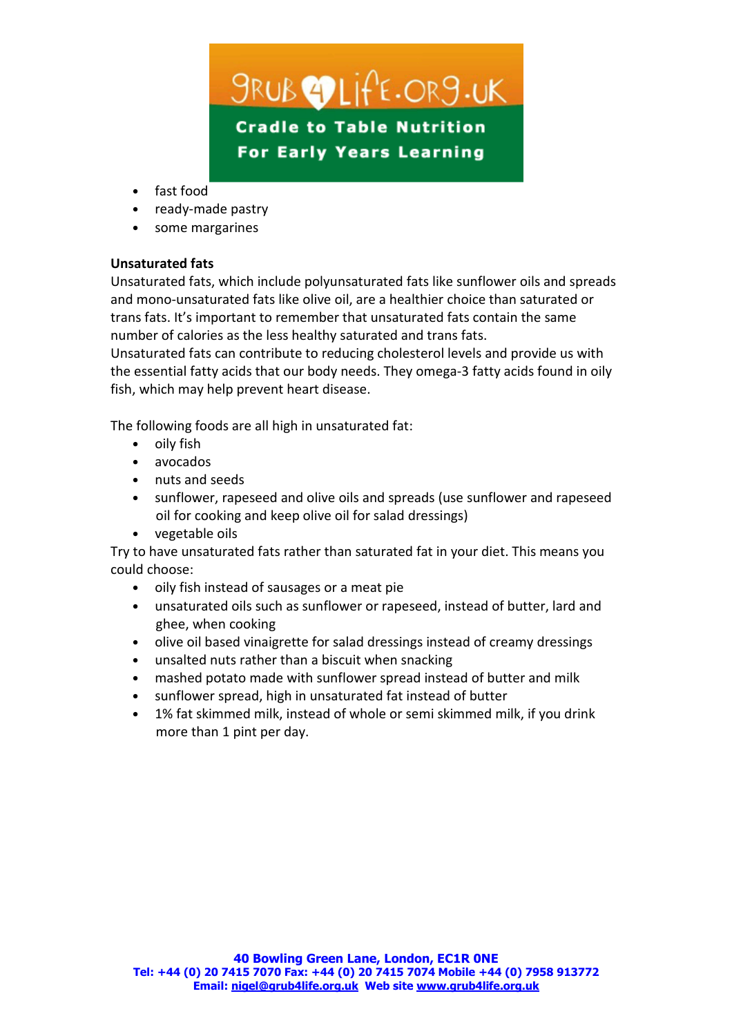*SRUB* PLIFF.ORS.UK **Cradle to Table Nutrition For Early Years Learning** 

- fast food
- ready-made pastry
- some margarines

# Unsaturated fats

Unsaturated fats, which include polyunsaturated fats like sunflower oils and spreads and mono-unsaturated fats like olive oil, are a healthier choice than saturated or trans fats. It's important to remember that unsaturated fats contain the same number of calories as the less healthy saturated and trans fats.

Unsaturated fats can contribute to reducing cholesterol levels and provide us with the essential fatty acids that our body needs. They omega-3 fatty acids found in oily fish, which may help prevent heart disease.

The following foods are all high in unsaturated fat:

- oily fish
- avocados
- nuts and seeds
- sunflower, rapeseed and olive oils and spreads (use sunflower and rapeseed oil for cooking and keep olive oil for salad dressings)
- vegetable oils

Try to have unsaturated fats rather than saturated fat in your diet. This means you could choose:

- oily fish instead of sausages or a meat pie
- unsaturated oils such as sunflower or rapeseed, instead of butter, lard and ghee, when cooking
- olive oil based vinaigrette for salad dressings instead of creamy dressings
- unsalted nuts rather than a biscuit when snacking
- mashed potato made with sunflower spread instead of butter and milk
- sunflower spread, high in unsaturated fat instead of butter
- 1% fat skimmed milk, instead of whole or semi skimmed milk, if you drink more than 1 pint per day.